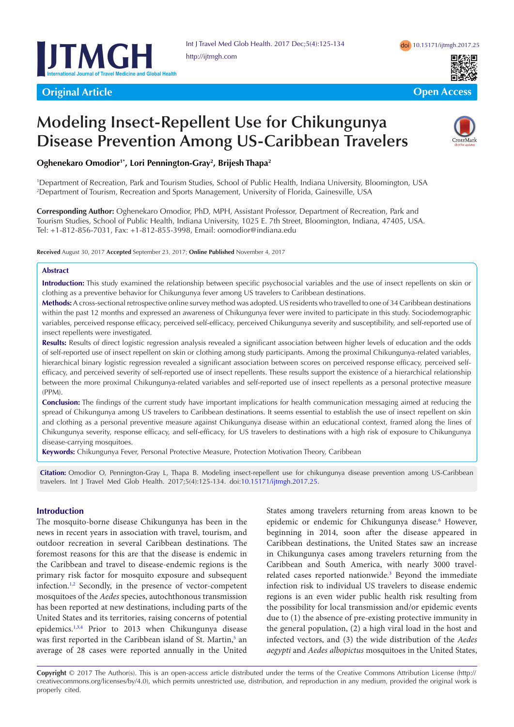



**Original Article Community Community Community Community Community Community Community Community Community Community** 

# **Modeling Insect-Repellent Use for Chikungunya Disease Prevention Among US-Caribbean Travelers**



# **Oghenekaro Omodior1\*, Lori Pennington-Gray2 , Brijesh Thapa2**

1 Department of Recreation, Park and Tourism Studies, School of Public Health, Indiana University, Bloomington, USA 2 Department of Tourism, Recreation and Sports Management, University of Florida, Gainesville, USA

**Corresponding Author:** Oghenekaro Omodior, PhD, MPH, Assistant Professor, Department of Recreation, Park and Tourism Studies, School of Public Health, Indiana University, 1025 E. 7th Street, Bloomington, Indiana, 47405, USA. Tel: +1-812-856-7031, Fax: +1-812-855-3998, Email: oomodior@indiana.edu

**Received** August 30, 2017 **Accepted** September 23, 2017; **Online Published** November 4, 2017

## **Abstract**

**Introduction:** This study examined the relationship between specific psychosocial variables and the use of insect repellents on skin or clothing as a preventive behavior for Chikungunya fever among US travelers to Caribbean destinations.

**Methods:** A cross-sectional retrospective online survey method was adopted. US residents who travelled to one of 34 Caribbean destinations within the past 12 months and expressed an awareness of Chikungunya fever were invited to participate in this study. Sociodemographic variables, perceived response efficacy, perceived self-efficacy, perceived Chikungunya severity and susceptibility, and self-reported use of insect repellents were investigated.

**Results:** Results of direct logistic regression analysis revealed a significant association between higher levels of education and the odds of self-reported use of insect repellent on skin or clothing among study participants. Among the proximal Chikungunya-related variables, hierarchical binary logistic regression revealed a significant association between scores on perceived response efficacy, perceived selfefficacy, and perceived severity of self-reported use of insect repellents. These results support the existence of a hierarchical relationship between the more proximal Chikungunya-related variables and self-reported use of insect repellents as a personal protective measure (PPM).

**Conclusion:** The findings of the current study have important implications for health communication messaging aimed at reducing the spread of Chikungunya among US travelers to Caribbean destinations. It seems essential to establish the use of insect repellent on skin and clothing as a personal preventive measure against Chikungunya disease within an educational context, framed along the lines of Chikungunya severity, response efficacy, and self-efficacy, for US travelers to destinations with a high risk of exposure to Chikungunya disease-carrying mosquitoes.

**Keywords:** Chikungunya Fever, Personal Protective Measure, Protection Motivation Theory, Caribbean

**Citation:** Omodior O, Pennington-Gray L, Thapa B. Modeling insect-repellent use for chikungunya disease prevention among US-Caribbean travelers. Int J Travel Med Glob Health. 2017;5(4):125-134. doi[:10.15171/ijtmgh.2017.25.](https://doi.org/10.15171/ijtmgh.2017.25)

## **Introduction**

The mosquito-borne disease Chikungunya has been in the news in recent years in association with travel, tourism, and outdoor recreation in several Caribbean destinations. The foremost reasons for this are that the disease is endemic in the Caribbean and travel to disease-endemic regions is the primary risk factor for mosquito exposure and subsequent infection.<sup>1,[2](#page-8-1)</sup> Secondly, in the presence of vector-competent mosquitoes of the *Aedes* species, autochthonous transmission has been reported at new destinations, including parts of the United States and its territories, raising concerns of potential epidemics.<sup>[1,](#page-8-0)[3](#page-8-2)[,4](#page-8-3)</sup> Prior to 2013 when Chikungunya disease was first reported in the Caribbean island of St. Martin,<sup>5</sup> an average of 28 cases were reported annually in the United States among travelers returning from areas known to be epidemic or endemic for Chikungunya disease.<sup>[6](#page-8-5)</sup> However, beginning in 2014, soon after the disease appeared in Caribbean destinations, the United States saw an increase in Chikungunya cases among travelers returning from the Caribbean and South America, with nearly 3000 travel-related cases reported nationwide.<sup>[3](#page-8-2)</sup> Beyond the immediate infection risk to individual US travelers to disease endemic regions is an even wider public health risk resulting from the possibility for local transmission and/or epidemic events due to (1) the absence of pre-existing protective immunity in the general population, (2) a high viral load in the host and infected vectors, and (3) the wide distribution of the *Aedes aegypti* and *Aedes albopictus* mosquitoes in the United States,

**Copyright** © 2017 The Author(s). This is an open-access article distributed under the terms of the Creative Commons Attribution License ([http://](http://creativecommons.org/licenses/by/4.0) [creativecommons.org/licenses/by/4.0\)](http://creativecommons.org/licenses/by/4.0), which permits unrestricted use, distribution, and reproduction in any medium, provided the original work is properly cited.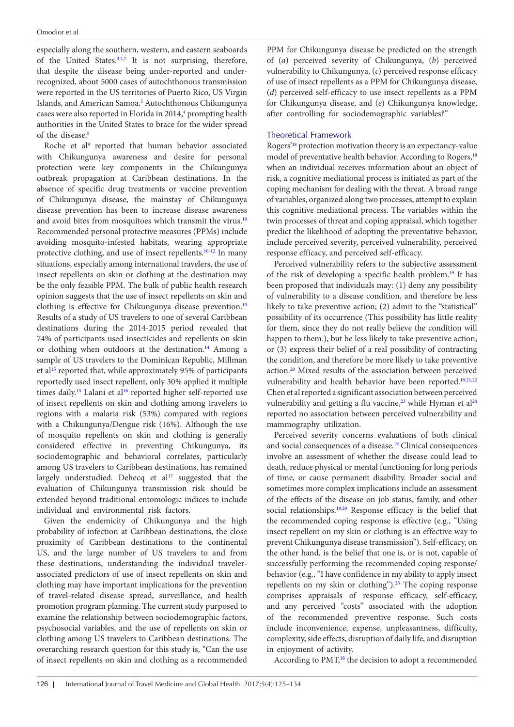especially along the southern, western, and eastern seaboards of the United States.<sup>3[,4](#page-8-3),[7](#page-8-6)</sup> It is not surprising, therefore, that despite the disease being under-reported and underrecognized, about 5000 cases of autochthonous transmission were reported in the US territories of Puerto Rico, US Virgin Islands, and American Samoa.<sup>[3](#page-8-2)</sup> Autochthonous Chikungunya cases were also reported in Florida in 2014,<sup>4</sup> prompting health authorities in the United States to brace for the wider spread of the disease.[8](#page-8-7)

Roche et al<sup>[9](#page-8-8)</sup> reported that human behavior associated with Chikungunya awareness and desire for personal protection were key components in the Chikungunya outbreak propagation at Caribbean destinations. In the absence of specific drug treatments or vaccine prevention of Chikungunya disease, the mainstay of Chikungunya disease prevention has been to increase disease awareness and avoid bites from mosquitoes which transmit the virus.<sup>[10](#page-8-9)</sup> Recommended personal protective measures (PPMs) include avoiding mosquito-infested habitats, wearing appropriate protective clothing, and use of insect repellents[.10-](#page-8-9)[12](#page-8-10) In many situations, especially among international travelers, the use of insect repellents on skin or clothing at the destination may be the only feasible PPM. The bulk of public health research opinion suggests that the use of insect repellents on skin and clothing is effective for Chikungunya disease prevention.<sup>[13](#page-8-11)</sup> Results of a study of US travelers to one of several Caribbean destinations during the 2014-2015 period revealed that 74% of participants used insecticides and repellents on skin or clothing when outdoors at the destination.<sup>14</sup> Among a sample of US travelers to the Dominican Republic, Millman et al<sup>15</sup> reported that, while approximately 95% of participants reportedly used insect repellent, only 30% applied it multiple times daily.<sup>15</sup> Lalani et al<sup>[16](#page-8-14)</sup> reported higher self-reported use of insect repellents on skin and clothing among travelers to regions with a malaria risk (53%) compared with regions with a Chikungunya/Dengue risk (16%). Although the use of mosquito repellents on skin and clothing is generally considered effective in preventing Chikungunya, its sociodemographic and behavioral correlates, particularly among US travelers to Caribbean destinations, has remained largely understudied. Dehecq et  $al^{17}$  $al^{17}$  $al^{17}$  suggested that the evaluation of Chikungunya transmission risk should be extended beyond traditional entomologic indices to include individual and environmental risk factors.

Given the endemicity of Chikungunya and the high probability of infection at Caribbean destinations, the close proximity of Caribbean destinations to the continental US, and the large number of US travelers to and from these destinations, understanding the individual travelerassociated predictors of use of insect repellents on skin and clothing may have important implications for the prevention of travel-related disease spread, surveillance, and health promotion program planning. The current study purposed to examine the relationship between sociodemographic factors, psychosocial variables, and the use of repellents on skin or clothing among US travelers to Caribbean destinations. The overarching research question for this study is, "Can the use of insect repellents on skin and clothing as a recommended

PPM for Chikungunya disease be predicted on the strength of (*a*) perceived severity of Chikungunya, (*b*) perceived vulnerability to Chikungunya, (*c*) perceived response efficacy of use of insect repellents as a PPM for Chikungunya disease, (*d*) perceived self-efficacy to use insect repellents as a PPM for Chikungunya disease, and (*e*) Chikungunya knowledge, after controlling for sociodemographic variables?"

## Theoretical Framework

Rogers['18](#page-8-16) protection motivation theory is an expectancy-value model of preventative health behavior. According to Rogers,<sup>18</sup> when an individual receives information about an object of risk, a cognitive mediational process is initiated as part of the coping mechanism for dealing with the threat. A broad range of variables, organized along two processes, attempt to explain this cognitive mediational process. The variables within the twin processes of threat and coping appraisal, which together predict the likelihood of adopting the preventative behavior, include perceived severity, perceived vulnerability, perceived response efficacy, and perceived self-efficacy.

Perceived vulnerability refers to the subjective assessment of the risk of developing a specific health problem.[19](#page-8-17) It has been proposed that individuals may: (1) deny any possibility of vulnerability to a disease condition, and therefore be less likely to take preventive action; (2) admit to the "statistical" possibility of its occurrence (This possibility has little reality for them, since they do not really believe the condition will happen to them.), but be less likely to take preventive action; or (3) express their belief of a real possibility of contracting the condition, and therefore be more likely to take preventive action[.20](#page-8-18) Mixed results of the association between perceived vulnerability and health behavior have been reported.<sup>19[,21,](#page-9-0)[22](#page-9-1)</sup> Chen et al reported a significant association between perceived vulnerability and getting a flu vaccine,<sup>23</sup> while Hyman et al<sup>24</sup> reported no association between perceived vulnerability and mammography utilization.

Perceived severity concerns evaluations of both clinical and social consequences of a disease.<sup>19</sup> Clinical consequences involve an assessment of whether the disease could lead to death, reduce physical or mental functioning for long periods of time, or cause permanent disability. Broader social and sometimes more complex implications include an assessment of the effects of the disease on job status, family, and other social relationships.<sup>[19](#page-8-17)[,20](#page-8-18)</sup> Response efficacy is the belief that the recommended coping response is effective (e.g., "Using insect repellent on my skin or clothing is an effective way to prevent Chikungunya disease transmission"). Self-efficacy, on the other hand, is the belief that one is, or is not, capable of successfully performing the recommended coping response/ behavior (e.g., "I have confidence in my ability to apply insect repellents on my skin or clothing"). $25$  The coping response comprises appraisals of response efficacy, self-efficacy, and any perceived "costs" associated with the adoption of the recommended preventive response. Such costs include inconvenience, expense, unpleasantness, difficulty, complexity, side effects, disruption of daily life, and disruption in enjoyment of activity.

According to PMT,<sup>18</sup> the decision to adopt a recommended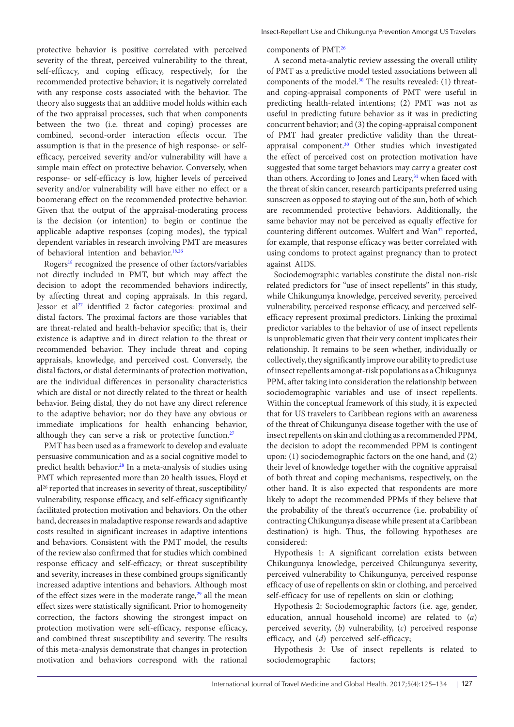protective behavior is positive correlated with perceived severity of the threat, perceived vulnerability to the threat, self-efficacy, and coping efficacy, respectively, for the recommended protective behavior; it is negatively correlated with any response costs associated with the behavior. The theory also suggests that an additive model holds within each of the two appraisal processes, such that when components between the two (i.e. threat and coping) processes are combined, second-order interaction effects occur. The assumption is that in the presence of high response- or selfefficacy, perceived severity and/or vulnerability will have a simple main effect on protective behavior. Conversely, when response- or self-efficacy is low, higher levels of perceived severity and/or vulnerability will have either no effect or a boomerang effect on the recommended protective behavior. Given that the output of the appraisal-moderating process is the decision (or intention) to begin or continue the applicable adaptive responses (coping modes), the typical dependent variables in research involving PMT are measures of behavioral intention and behavior[.18](#page-8-16)[,26](#page-9-5)

Rogers<sup>[18](#page-8-16)</sup> recognized the presence of other factors/variables not directly included in PMT, but which may affect the decision to adopt the recommended behaviors indirectly, by affecting threat and coping appraisals. In this regard, Jessor et a[l27](#page-9-6) identified 2 factor categories: proximal and distal factors. The proximal factors are those variables that are threat-related and health-behavior specific; that is, their existence is adaptive and in direct relation to the threat or recommended behavior. They include threat and coping appraisals, knowledge, and perceived cost. Conversely, the distal factors, or distal determinants of protection motivation, are the individual differences in personality characteristics which are distal or not directly related to the threat or health behavior. Being distal, they do not have any direct reference to the adaptive behavior; nor do they have any obvious or immediate implications for health enhancing behavior, although they can serve a risk or protective function.<sup>[27](#page-9-6)</sup>

PMT has been used as a framework to develop and evaluate persuasive communication and as a social cognitive model to predict health behavior.<sup>28</sup> In a meta-analysis of studies using PMT which represented more than 20 health issues, Floyd et al26 reported that increases in severity of threat, susceptibility/ vulnerability, response efficacy, and self-efficacy significantly facilitated protection motivation and behaviors. On the other hand, decreases in maladaptive response rewards and adaptive costs resulted in significant increases in adaptive intentions and behaviors. Consistent with the PMT model, the results of the review also confirmed that for studies which combined response efficacy and self-efficacy; or threat susceptibility and severity, increases in these combined groups significantly increased adaptive intentions and behaviors. Although most of the effect sizes were in the moderate range,<sup>[29](#page-9-8)</sup> all the mean effect sizes were statistically significant. Prior to homogeneity correction, the factors showing the strongest impact on protection motivation were self-efficacy, response efficacy, and combined threat susceptibility and severity. The results of this meta-analysis demonstrate that changes in protection motivation and behaviors correspond with the rational

components of PMT.[26](#page-9-5)

A second meta-analytic review assessing the overall utility of PMT as a predictive model tested associations between all components of the model.<sup>[30](#page-9-9)</sup> The results revealed: (1) threatand coping-appraisal components of PMT were useful in predicting health-related intentions; (2) PMT was not as useful in predicting future behavior as it was in predicting concurrent behavior; and (3) the coping-appraisal component of PMT had greater predictive validity than the threatappraisal component.[30](#page-9-9) Other studies which investigated the effect of perceived cost on protection motivation have suggested that some target behaviors may carry a greater cost than others. According to Jones and Leary,<sup>31</sup> when faced with the threat of skin cancer, research participants preferred using sunscreen as opposed to staying out of the sun, both of which are recommended protective behaviors. Additionally, the same behavior may not be perceived as equally effective for countering different outcomes. Wulfert and Wan<sup>32</sup> reported, for example, that response efficacy was better correlated with using condoms to protect against pregnancy than to protect against AIDS.

Sociodemographic variables constitute the distal non-risk related predictors for "use of insect repellents" in this study, while Chikungunya knowledge, perceived severity, perceived vulnerability, perceived response efficacy, and perceived selfefficacy represent proximal predictors. Linking the proximal predictor variables to the behavior of use of insect repellents is unproblematic given that their very content implicates their relationship. It remains to be seen whether, individually or collectively, they significantly improve our ability to predict use of insect repellents among at-risk populations as a Chikugunya PPM, after taking into consideration the relationship between sociodemographic variables and use of insect repellents. Within the conceptual framework of this study, it is expected that for US travelers to Caribbean regions with an awareness of the threat of Chikungunya disease together with the use of insect repellents on skin and clothing as a recommended PPM, the decision to adopt the recommended PPM is contingent upon: (1) sociodemographic factors on the one hand, and (2) their level of knowledge together with the cognitive appraisal of both threat and coping mechanisms, respectively, on the other hand. It is also expected that respondents are more likely to adopt the recommended PPMs if they believe that the probability of the threat's occurrence (i.e. probability of contracting Chikungunya disease while present at a Caribbean destination) is high. Thus, the following hypotheses are considered:

Hypothesis 1: A significant correlation exists between Chikungunya knowledge, perceived Chikungunya severity, perceived vulnerability to Chikungunya, perceived response efficacy of use of repellents on skin or clothing, and perceived self-efficacy for use of repellents on skin or clothing;

Hypothesis 2: Sociodemographic factors (i.e. age, gender, education, annual household income) are related to (*a*) perceived severity, (*b*) vulnerability, (*c*) perceived response efficacy, and (*d*) perceived self-efficacy;

Hypothesis 3: Use of insect repellents is related to sociodemographic factors;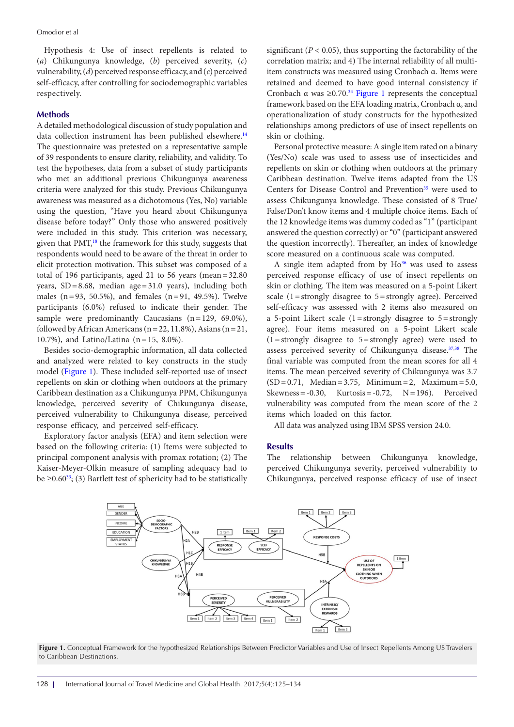Hypothesis 4: Use of insect repellents is related to (*a*) Chikungunya knowledge, (*b*) perceived severity, (*c*) vulnerability, (*d*) perceived response efficacy, and (*e*) perceived self-efficacy, after controlling for sociodemographic variables respectively.

#### **Methods**

A detailed methodological discussion of study population and data collection instrument has been published elsewhere.<sup>[14](#page-8-12)</sup> The questionnaire was pretested on a representative sample of 39 respondents to ensure clarity, reliability, and validity. To test the hypotheses, data from a subset of study participants who met an additional previous Chikungunya awareness criteria were analyzed for this study. Previous Chikungunya awareness was measured as a dichotomous (Yes, No) variable using the question, "Have you heard about Chikungunya disease before today?" Only those who answered positively were included in this study. This criterion was necessary, given that  $PMT<sub>18</sub>$  the framework for this study, suggests that respondents would need to be aware of the threat in order to elicit protection motivation. This subset was composed of a total of 196 participants, aged 21 to 56 years (mean=32.80 years, SD=8.68, median age=31.0 years), including both males (n=93, 50.5%), and females (n=91, 49.5%). Twelve participants (6.0%) refused to indicate their gender. The sample were predominantly Caucasians (n=129, 69.0%), followed by African Americans ( $n=22$ , 11.8%), Asians ( $n=21$ , 10.7%), and Latino/Latina (n=15, 8.0%).

Besides socio-demographic information, all data collected and analyzed were related to key constructs in the study model [\(Figure 1\)](#page-3-0). These included self-reported use of insect repellents on skin or clothing when outdoors at the primary Caribbean destination as a Chikungunya PPM, Chikungunya knowledge, perceived severity of Chikungunya disease, perceived vulnerability to Chikungunya disease, perceived response efficacy, and perceived self-efficacy.

Exploratory factor analysis (EFA) and item selection were based on the following criteria: (1) Items were subjected to principal component analysis with promax rotation; (2) The Kaiser-Meyer-Olkin measure of sampling adequacy had to be  $\geq 0.60^{33}$  $\geq 0.60^{33}$  $\geq 0.60^{33}$ ; (3) Bartlett test of sphericity had to be statistically

significant ( $P < 0.05$ ), thus supporting the factorability of the correlation matrix; and 4) The internal reliability of all multiitem constructs was measured using Cronbach α. Items were retained and deemed to have good internal consistency if Cronbach  $\alpha$  was  $\geq 0.70$ .<sup>34</sup> [Figure 1](#page-3-0) represents the conceptual framework based on the EFA loading matrix, Cronbach α, and operationalization of study constructs for the hypothesized relationships among predictors of use of insect repellents on skin or clothing.

Personal protective measure: A single item rated on a binary (Yes/No) scale was used to assess use of insecticides and repellents on skin or clothing when outdoors at the primary Caribbean destination. Twelve items adapted from the US Centers for Disease Control and Prevention<sup>[35](#page-9-14)</sup> were used to assess Chikungunya knowledge. These consisted of 8 True/ False/Don't know items and 4 multiple choice items. Each of the 12 knowledge items was dummy coded as "1" (participant answered the question correctly) or "0" (participant answered the question incorrectly). Thereafter, an index of knowledge score measured on a continuous scale was computed.

A single item adapted from by  $Ho^{36}$  was used to assess perceived response efficacy of use of insect repellents on skin or clothing. The item was measured on a 5-point Likert scale (1=strongly disagree to 5=strongly agree). Perceived self-efficacy was assessed with 2 items also measured on a 5-point Likert scale  $(1 =$ strongly disagree to  $5 =$ strongly agree). Four items measured on a 5-point Likert scale  $(1 = \text{strongly disagree to } 5 = \text{strongly agree})$  were used to assess perceived severity of Chikungunya disease.<sup>[37](#page-9-16),[38](#page-9-17)</sup> The final variable was computed from the mean scores for all 4 items. The mean perceived severity of Chikungunya was 3.7  $(SD = 0.71, Median = 3.75, Minimum = 2, Maximum = 5.0,$ Skewness =  $-0.30$ , Kurtosis =  $-0.72$ , N = 196). Perceived vulnerability was computed from the mean score of the 2 items which loaded on this factor.

All data was analyzed using IBM SPSS version 24.0.

#### **Results**

<span id="page-3-0"></span>The relationship between Chikungunya knowledge, perceived Chikungunya severity, perceived vulnerability to Chikungunya, perceived response efficacy of use of insect



Figure 1. Conceptual Framework for the hypothesized Relationships Between Predictor Variables and Use of Insect Repellents Among US Travelers to Caribbean Destinations.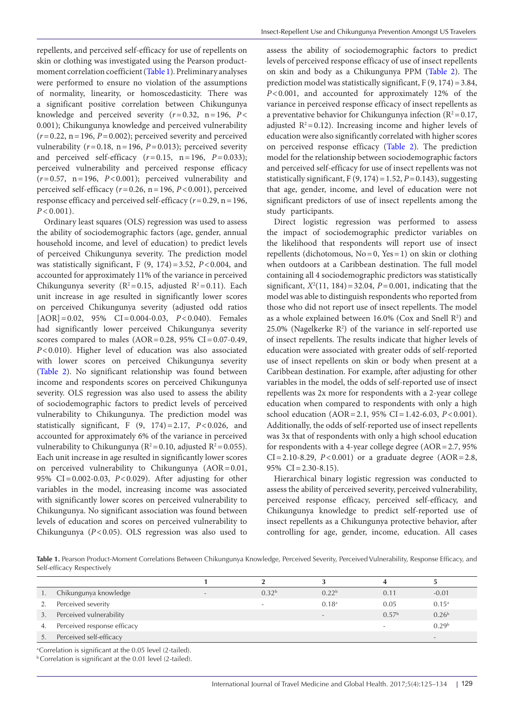repellents, and perceived self-efficacy for use of repellents on skin or clothing was investigated using the Pearson productmoment correlation coefficient ([Table 1](#page-4-0)). Preliminary analyses were performed to ensure no violation of the assumptions of normality, linearity, or homoscedasticity. There was a significant positive correlation between Chikungunya knowledge and perceived severity (*r*=0.32, n=196, *P*< 0.001); Chikungunya knowledge and perceived vulnerability  $(r=0.22, n=196, P=0.002)$ ; perceived severity and perceived vulnerability  $(r=0.18, n=196, P=0.013)$ ; perceived severity and perceived self-efficacy  $(r=0.15, n=196, P=0.033)$ ; perceived vulnerability and perceived response efficacy (*r*=0.57, n=196, *P*<0.001); perceived vulnerability and perceived self-efficacy (*r*=0.26, n=196, *P*<0.001), perceived response efficacy and perceived self-efficacy (*r*=0.29, n=196,  $P < 0.001$ ).

Ordinary least squares (OLS) regression was used to assess the ability of sociodemographic factors (age, gender, annual household income, and level of education) to predict levels of perceived Chikungunya severity. The prediction model was statistically significant, F (9, 174)=3.52, *P*<0.004, and accounted for approximately 11% of the variance in perceived Chikungunya severity ( $R^2 = 0.15$ , adjusted  $R^2 = 0.11$ ). Each unit increase in age resulted in significantly lower scores on perceived Chikungunya severity (adjusted odd ratios [AOR]=0.02, 95% CI=0.004-0.03, *P*<0.040). Females had significantly lower perceived Chikungunya severity scores compared to males  $(AOR=0.28, 95\% \text{ CI} = 0.07-0.49,$ *P*<0.010). Higher level of education was also associated with lower scores on perceived Chikungunya severity ([Table 2](#page-5-0)). No significant relationship was found between income and respondents scores on perceived Chikungunya severity. OLS regression was also used to assess the ability of sociodemographic factors to predict levels of perceived vulnerability to Chikungunya. The prediction model was statistically significant, F (9, 174)=2.17, *P*<0.026, and accounted for approximately 6% of the variance in perceived vulnerability to Chikungunya ( $R^2$ =0.10, adjusted  $R^2$ =0.055). Each unit increase in age resulted in significantly lower scores on perceived vulnerability to Chikungunya (AOR=0.01, 95% CI=0.002-0.03, *P*<0.029). After adjusting for other variables in the model, increasing income was associated with significantly lower scores on perceived vulnerability to Chikungunya. No significant association was found between levels of education and scores on perceived vulnerability to Chikungunya (*P*<0.05). OLS regression was also used to

assess the ability of sociodemographic factors to predict levels of perceived response efficacy of use of insect repellents on skin and body as a Chikungunya PPM [\(Table 2\)](#page-5-0). The prediction model was statistically significant,  $F(9, 174) = 3.84$ , *P*<0.001, and accounted for approximately 12% of the variance in perceived response efficacy of insect repellents as a preventative behavior for Chikungunya infection ( $R^2 = 0.17$ , adjusted  $R^2 = 0.12$ ). Increasing income and higher levels of education were also significantly correlated with higher scores on perceived response efficacy ([Table 2](#page-5-0)). The prediction model for the relationship between sociodemographic factors and perceived self-efficacy for use of insect repellents was not statistically significant,  $F(9, 174) = 1.52$ ,  $P = 0.143$ ), suggesting that age, gender, income, and level of education were not significant predictors of use of insect repellents among the study participants.

Direct logistic regression was performed to assess the impact of sociodemographic predictor variables on the likelihood that respondents will report use of insect repellents (dichotomous,  $No = 0$ , Yes = 1) on skin or clothing when outdoors at a Caribbean destination. The full model containing all 4 sociodemographic predictors was statistically significant,  $X^2(11, 184) = 32.04$ ,  $P = 0.001$ , indicating that the model was able to distinguish respondents who reported from those who did not report use of insect repellents. The model as a whole explained between  $16.0\%$  (Cox and Snell  $\mathbb{R}^2$ ) and  $25.0\%$  (Nagelkerke  $R^2$ ) of the variance in self-reported use of insect repellents. The results indicate that higher levels of education were associated with greater odds of self-reported use of insect repellents on skin or body when present at a Caribbean destination. For example, after adjusting for other variables in the model, the odds of self-reported use of insect repellents was 2x more for respondents with a 2-year college education when compared to respondents with only a high school education (AOR=2.1, 95% CI=1.42-6.03, *P*<0.001). Additionally, the odds of self-reported use of insect repellents was 3x that of respondents with only a high school education for respondents with a 4-year college degree (AOR=2.7, 95% CI=2.10-8.29, *P*<0.001) or a graduate degree (AOR=2.8, 95% CI=2.30-8.15).

Hierarchical binary logistic regression was conducted to assess the ability of perceived severity, perceived vulnerability, perceived response efficacy, perceived self-efficacy, and Chikungunya knowledge to predict self-reported use of insect repellents as a Chikungunya protective behavior, after controlling for age, gender, income, education. All cases

<span id="page-4-0"></span>**Table 1.** Pearson Product-Moment Correlations Between Chikungunya Knowledge, Perceived Severity, Perceived Vulnerability, Response Efficacy, and Self-efficacy Respectively

|    | Chikungunya knowledge       | $\overline{\phantom{a}}$ | 0.32 <sup>b</sup> | 0.22 <sup>b</sup>        | 0.11              | $-0.01$                  |
|----|-----------------------------|--------------------------|-------------------|--------------------------|-------------------|--------------------------|
|    | Perceived severity          |                          |                   | 0.18 <sup>a</sup>        | 0.05              | $0.15^{\rm a}$           |
| 3. | Perceived vulnerability     |                          |                   | $\overline{\phantom{a}}$ | 0.57 <sup>b</sup> | 0.26 <sup>b</sup>        |
| 4. | Perceived response efficacy |                          |                   |                          |                   | 0.29 <sup>b</sup>        |
|    | Perceived self-efficacy     |                          |                   |                          |                   | $\overline{\phantom{a}}$ |

<sup>a</sup>Correlation is significant at the 0.05 level (2-tailed).

b Correlation is significant at the 0.01 level (2-tailed).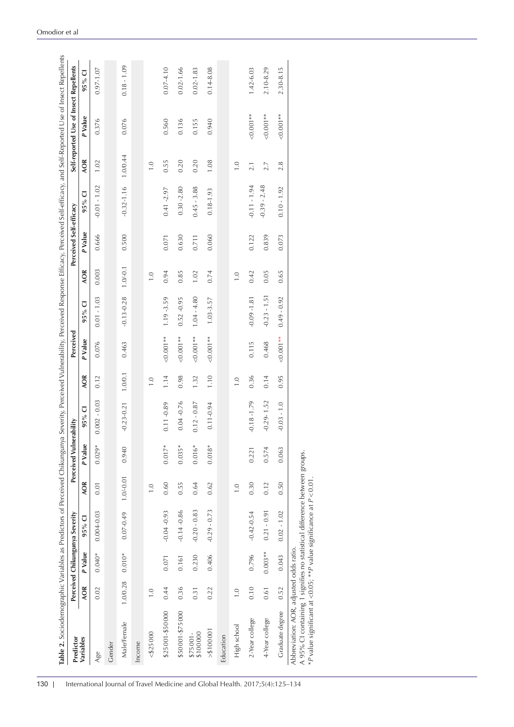| Predictor             |                                 |           | Perceived Chikungunya Severity |                                 | Perceived Vulnerability |                |                    | Perceived   |                |                    | Perceived Self-efficacy |                          |                    | Self-reported Use of Insect Repellents |               |
|-----------------------|---------------------------------|-----------|--------------------------------|---------------------------------|-------------------------|----------------|--------------------|-------------|----------------|--------------------|-------------------------|--------------------------|--------------------|----------------------------------------|---------------|
| Variables             | <b>AOR</b>                      | P Value   | $95%$ CI                       | <b>AOR</b>                      | P Value                 | U<br>95%       | <b>AOR</b>         | P Value     | 95% CI         | <b>AOR</b>         | P Value                 | $\overline{\cup}$<br>95% | <b>AOR</b>         | P Value                                | $95\%$ CI     |
| Age                   | 0.02                            | $0.040*$  | $0.004 - 0.03$                 | 0.01                            | $0.029*$                | $0.002 - 0.03$ | 0.12               | 0.076       | $0.01 - 1.03$  | 0.003              | 0.666                   | $-0.01 - 1.02$           | 1.02               | 0.376                                  | $0.97 - 1.07$ |
| Gender                |                                 |           |                                |                                 |                         |                |                    |             |                |                    |                         |                          |                    |                                        |               |
| Male/Female           | 1.0/0.28                        | $0.010*$  | $0.07 - 0.49$                  | $1.0/-0.01$                     | 0.940                   | $-0.23 - 0.21$ | 1.0/0.1            | 0.463       | $-0.13 - 0.28$ | $1.0 - 0.1$        | 0.500                   | $-0.32 - 1.16$ 1.0/0.44  |                    | 0.076                                  | $0.18 - 1.09$ |
| Income                |                                 |           |                                |                                 |                         |                |                    |             |                |                    |                         |                          |                    |                                        |               |
| $<$ \$25000           | $\overline{1.0}$                |           |                                | $\overline{1}$ . $\overline{0}$ |                         |                | $\overline{1}$ . O |             |                | $\overline{1}$ . O |                         |                          | $\overline{1}$ . O |                                        |               |
| \$25001-\$50000       | 0.44                            | 0.071     | $-0.04 - 0.93$                 | 0.60                            | $0.017*$                | $0.11 - 0.89$  | 1.14               | $0.001**$   | 1.19 - 3.59    | 0.94               | 0.071                   | $0.41 - 2.97$            | 0.55               | 0.560                                  | $0.07 - 4.10$ |
| \$50 001-\$75 000     | 0.36                            | 0.161     | $-0.14 - 0.86$                 | 0.55                            | $0.035*$                | $0.04 - 0.76$  | 0.98               | $0.001**$   | $0.52 - 0.95$  | 0.85               | 0.630                   | $0.30 - 2.80$            | 0.20               | 0.136                                  | $0.02 - 1.66$ |
| \$100000<br>$$75001-$ | 0.31                            | 0.230     | $-0.20 - 0.83$                 | 0.64                            | $0.016*$                | $0.12 - 0.87$  | 1.32               | $< 0.001**$ | $1.04 - 4.80$  | 1.02               | 0.711                   | $0.45 - 3.88$            | 0.20               | 0.155                                  | $0.02 - 1.83$ |
| > \$1000001           | 0.22                            | 0.406     | $-0.29 - 0.73$                 | 0.62                            | $0.018*$                | $0.11 - 0.94$  | 1.10               | $0.001**$   | $1.03 - 3.57$  | 0.74               | 0.060                   | $0.18 - 1.93$            | 1.08               | 0.940                                  | $0.14 - 8.08$ |
| Education             |                                 |           |                                |                                 |                         |                |                    |             |                |                    |                         |                          |                    |                                        |               |
| High school           | $\overline{1}$ . $\overline{0}$ |           |                                | $\overline{1}$ . $\overline{0}$ |                         |                | $\overline{1}$ . O |             |                | $\overline{1}$ . O |                         |                          | $\overline{1}$ . O |                                        |               |
| 2-Year college        | 0.10                            | 0.796     | $-0.42 - 0.54$                 | 0.30                            | 0.221                   | $-0.18 - 1.79$ | 0.36               | 0.115       | $-0.09 - 1.81$ | 0.42               | 0.122                   | $-0.11 - 1.94$           | 2.1                | $< 0.001**$                            | 1.42-6.03     |
| 4-Year college        | 0.61                            | $0.003**$ | $0.21 - 0.91$                  | 0.12                            | 0.574                   | $-0.29 - 1.52$ | 0.14               | 0.468       | $-0.23 - 1.51$ | 0.05               | 0.839                   | $-0.39 - 2.48$           | 2.7                | $0.001**$                              | 2.10-8.29     |
| Graduate degree       | 0.52                            | 0.043     | $0.02 - 1.02$                  | 0.50                            | 0.063                   | $-0.03 - 1.0$  | 0.95               | $0.001**$   | $0.49 - 0.92$  | 0.65               | 0.073                   | $0.10 - 1.92$            | 2.8                | $0.001**$                              | 2.30-8.15     |

Omodior et al

<span id="page-5-0"></span>\**P* value significant at <0.05; \*\**P* value significance at *P* <0.01.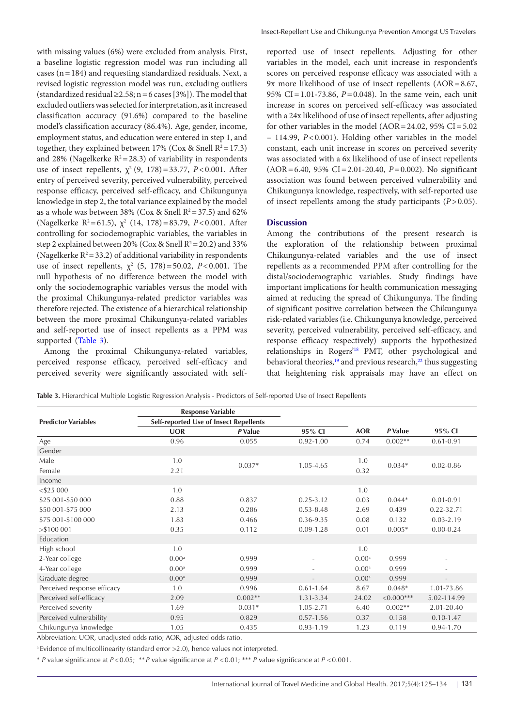with missing values (6%) were excluded from analysis. First, a baseline logistic regression model was run including all cases (n=184) and requesting standardized residuals. Next, a revised logistic regression model was run, excluding outliers (standardized residual  $\geq$ 2.58; n = 6 cases [3%]). The model that excluded outliers was selected for interpretation, as it increased classification accuracy (91.6%) compared to the baseline model's classification accuracy (86.4%). Age, gender, income, employment status, and education were entered in step 1, and together, they explained between 17% (Cox & Snell  $R^2 = 17.3$ ) and 28% (Nagelkerke  $R^2 = 28.3$ ) of variability in respondents use of insect repellents,  $\chi^2$  (9, 178) = 33.77, *P* < 0.001. After entry of perceived severity, perceived vulnerability, perceived response efficacy, perceived self-efficacy, and Chikungunya knowledge in step 2, the total variance explained by the model as a whole was between 38% (Cox & Snell  $R^2 = 37.5$ ) and 62% (Nagelkerke R<sup>2</sup>=61.5),  $\chi^2$  (14, 178)=83.79, *P*<0.001. After controlling for sociodemographic variables, the variables in step 2 explained between 20% (Cox & Snell  $R^2 = 20.2$ ) and 33% (Nagelkerke  $R^2$  = 33.2) of additional variability in respondents use of insect repellents,  $\chi^2$  (5, 178) = 50.02, *P*<0.001. The null hypothesis of no difference between the model with only the sociodemographic variables versus the model with the proximal Chikungunya-related predictor variables was therefore rejected. The existence of a hierarchical relationship between the more proximal Chikungunya-related variables and self-reported use of insect repellents as a PPM was supported [\(Table 3\)](#page-6-0).

Among the proximal Chikungunya-related variables, perceived response efficacy, perceived self-efficacy and perceived severity were significantly associated with selfreported use of insect repellents. Adjusting for other variables in the model, each unit increase in respondent's scores on perceived response efficacy was associated with a 9x more likelihood of use of insect repellents (AOR=8.67, 95% CI=1.01-73.86, *P*=0.048). In the same vein, each unit increase in scores on perceived self-efficacy was associated with a 24x likelihood of use of insect repellents, after adjusting for other variables in the model (AOR =  $24.02$ ,  $95\%$  CI =  $5.02$ – 114.99, *P*<0.001). Holding other variables in the model constant, each unit increase in scores on perceived severity was associated with a 6x likelihood of use of insect repellents (AOR=6.40, 95% CI=2.01-20.40, *P*=0.002). No significant association was found between perceived vulnerability and Chikungunya knowledge, respectively, with self-reported use of insect repellents among the study participants (*P*>0.05).

## **Discussion**

Among the contributions of the present research is the exploration of the relationship between proximal Chikungunya-related variables and the use of insect repellents as a recommended PPM after controlling for the distal/sociodemographic variables. Study findings have important implications for health communication messaging aimed at reducing the spread of Chikungunya. The finding of significant positive correlation between the Chikungunya risk-related variables (i.e. Chikungunya knowledge, perceived severity, perceived vulnerability, perceived self-efficacy, and response efficacy respectively) supports the hypothesized relationships in Rogers<sup>'18</sup> PMT, other psychological and behavioral theories,<sup>19</sup> and previous research,<sup>[22](#page-9-1)</sup> thus suggesting that heightening risk appraisals may have an effect on

<span id="page-6-0"></span>

|  |  | Table 3. Hierarchical Multiple Logistic Regression Analysis - Predictors of Self-reported Use of Insect Repellents |
|--|--|--------------------------------------------------------------------------------------------------------------------|
|--|--|--------------------------------------------------------------------------------------------------------------------|

|                             | <b>Response Variable</b>               |           |                          |                   |             |                          |
|-----------------------------|----------------------------------------|-----------|--------------------------|-------------------|-------------|--------------------------|
| <b>Predictor Variables</b>  | Self-reported Use of Insect Repellents |           |                          |                   |             |                          |
|                             | <b>UOR</b>                             | P Value   | 95% CI                   | <b>AOR</b>        | P Value     | 95% CI                   |
| Age                         | 0.96                                   | 0.055     | $0.92 - 1.00$            | 0.74              | $0.002**$   | $0.61 - 0.91$            |
| Gender                      |                                        |           |                          |                   |             |                          |
| Male                        | 1.0                                    | $0.037*$  | 1.05-4.65                | 1.0               | $0.034*$    | $0.02 - 0.86$            |
| Female                      | 2.21                                   |           |                          | 0.32              |             |                          |
| Income                      |                                        |           |                          |                   |             |                          |
| $<$ \$25 000                | 1.0                                    |           |                          | 1.0               |             |                          |
| \$25 001-\$50 000           | 0.88                                   | 0.837     | $0.25 - 3.12$            | 0.03              | $0.044*$    | $0.01 - 0.91$            |
| \$50 001-\$75 000           | 2.13                                   | 0.286     | $0.53 - 8.48$            | 2.69              | 0.439       | 0.22-32.71               |
| \$75 001-\$100 000          | 1.83                                   | 0.466     | 0.36-9.35                | 0.08              | 0.132       | $0.03 - 2.19$            |
| > \$100001                  | 0.35                                   | 0.112     | $0.09 - 1.28$            | 0.01              | $0.005*$    | $0.00 - 0.24$            |
| Education                   |                                        |           |                          |                   |             |                          |
| High school                 | 1.0                                    |           |                          | 1.0               |             |                          |
| 2-Year college              | 0.00 <sup>a</sup>                      | 0.999     |                          | 0.00 <sup>a</sup> | 0.999       |                          |
| 4-Year college              | 0.00 <sup>a</sup>                      | 0.999     |                          | 0.00 <sup>a</sup> | 0.999       |                          |
| Graduate degree             | 0.00 <sup>a</sup>                      | 0.999     | $\overline{\phantom{a}}$ | 0.00 <sup>a</sup> | 0.999       | $\overline{\phantom{a}}$ |
| Perceived response efficacy | 1.0                                    | 0.996     | $0.61 - 1.64$            | 8.67              | $0.048*$    | 1.01-73.86               |
| Perceived self-efficacy     | 2.09                                   | $0.002**$ | 1.31-3.34                | 24.02             | $<0.000***$ | 5.02-114.99              |
| Perceived severity          | 1.69                                   | $0.031*$  | 1.05-2.71                | 6.40              | $0.002**$   | 2.01-20.40               |
| Perceived vulnerability     | 0.95                                   | 0.829     | $0.57 - 1.56$            | 0.37              | 0.158       | $0.10 - 1.47$            |
| Chikungunya knowledge       | 1.05                                   | 0.435     | $0.93 - 1.19$            | 1.23              | 0.119       | 0.94-1.70                |

Abbreviation: UOR, unadjusted odds ratio; AOR, adjusted odds ratio.

<sup>a</sup> Evidence of multicollinearity (standard error >2.0), hence values not interpreted.

\* *P* value significance at *P*<0.05; \*\**P* value significance at *P* <0.01; \*\*\* *P* value significance at *P* <0.001.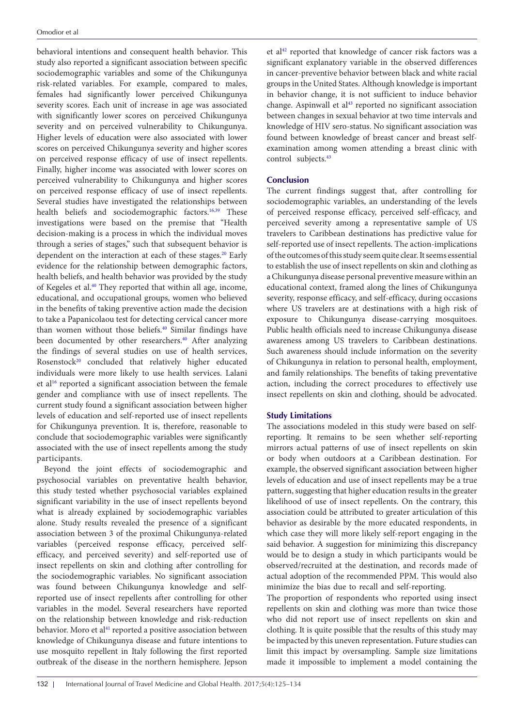behavioral intentions and consequent health behavior. This study also reported a significant association between specific sociodemographic variables and some of the Chikungunya risk-related variables. For example, compared to males, females had significantly lower perceived Chikungunya severity scores. Each unit of increase in age was associated with significantly lower scores on perceived Chikungunya severity and on perceived vulnerability to Chikungunya. Higher levels of education were also associated with lower scores on perceived Chikungunya severity and higher scores on perceived response efficacy of use of insect repellents. Finally, higher income was associated with lower scores on perceived vulnerability to Chikungunya and higher scores on perceived response efficacy of use of insect repellents. Several studies have investigated the relationships between health beliefs and sociodemographic factors.<sup>16,39</sup> These investigations were based on the premise that "Health decision-making is a process in which the individual moves through a series of stages," such that subsequent behavior is dependent on the interaction at each of these stages.<sup>[20](#page-8-18)</sup> Early evidence for the relationship between demographic factors, health beliefs, and health behavior was provided by the study of Kegeles et al[.40](#page-9-19) They reported that within all age, income, educational, and occupational groups, women who believed in the benefits of taking preventive action made the decision to take a Papanicolaou test for detecting cervical cancer more than women without those beliefs.<sup>[40](#page-9-19)</sup> Similar findings have been documented by other researchers.<sup>40</sup> After analyzing the findings of several studies on use of health services, Rosenstock<sup>20</sup> concluded that relatively higher educated individuals were more likely to use health services. Lalani et al<sup>16</sup> reported a significant association between the female gender and compliance with use of insect repellents. The current study found a significant association between higher levels of education and self-reported use of insect repellents for Chikungunya prevention. It is, therefore, reasonable to conclude that sociodemographic variables were significantly associated with the use of insect repellents among the study participants.

Beyond the joint effects of sociodemographic and psychosocial variables on preventative health behavior, this study tested whether psychosocial variables explained significant variability in the use of insect repellents beyond what is already explained by sociodemographic variables alone. Study results revealed the presence of a significant association between 3 of the proximal Chikungunya-related variables (perceived response efficacy, perceived selfefficacy, and perceived severity) and self-reported use of insect repellents on skin and clothing after controlling for the sociodemographic variables. No significant association was found between Chikungunya knowledge and selfreported use of insect repellents after controlling for other variables in the model. Several researchers have reported on the relationship between knowledge and risk-reduction behavior. Moro et al<sup>41</sup> reported a positive association between knowledge of Chikungunya disease and future intentions to use mosquito repellent in Italy following the first reported outbreak of the disease in the northern hemisphere. Jepson

et al<sup>[42](#page-9-21)</sup> reported that knowledge of cancer risk factors was a significant explanatory variable in the observed differences in cancer-preventive behavior between black and white racial groups in the United States. Although knowledge is important in behavior change, it is not sufficient to induce behavior change. Aspinwall et  $al<sup>43</sup>$  reported no significant association between changes in sexual behavior at two time intervals and knowledge of HIV sero-status. No significant association was found between knowledge of breast cancer and breast selfexamination among women attending a breast clinic with control subjects.<sup>43</sup>

# **Conclusion**

The current findings suggest that, after controlling for sociodemographic variables, an understanding of the levels of perceived response efficacy, perceived self-efficacy, and perceived severity among a representative sample of US travelers to Caribbean destinations has predictive value for self-reported use of insect repellents. The action-implications of the outcomes of this study seem quite clear. It seems essential to establish the use of insect repellents on skin and clothing as a Chikungunya disease personal preventive measure within an educational context, framed along the lines of Chikungunya severity, response efficacy, and self-efficacy, during occasions where US travelers are at destinations with a high risk of exposure to Chikungunya disease-carrying mosquitoes. Public health officials need to increase Chikungunya disease awareness among US travelers to Caribbean destinations. Such awareness should include information on the severity of Chikungunya in relation to personal health, employment, and family relationships. The benefits of taking preventative action, including the correct procedures to effectively use insect repellents on skin and clothing, should be advocated.

# **Study Limitations**

The associations modeled in this study were based on selfreporting. It remains to be seen whether self-reporting mirrors actual patterns of use of insect repellents on skin or body when outdoors at a Caribbean destination. For example, the observed significant association between higher levels of education and use of insect repellents may be a true pattern, suggesting that higher education results in the greater likelihood of use of insect repellents. On the contrary, this association could be attributed to greater articulation of this behavior as desirable by the more educated respondents, in which case they will more likely self-report engaging in the said behavior. A suggestion for minimizing this discrepancy would be to design a study in which participants would be observed/recruited at the destination, and records made of actual adoption of the recommended PPM. This would also minimize the bias due to recall and self-reporting.

The proportion of respondents who reported using insect repellents on skin and clothing was more than twice those who did not report use of insect repellents on skin and clothing. It is quite possible that the results of this study may be impacted by this uneven representation. Future studies can limit this impact by oversampling. Sample size limitations made it impossible to implement a model containing the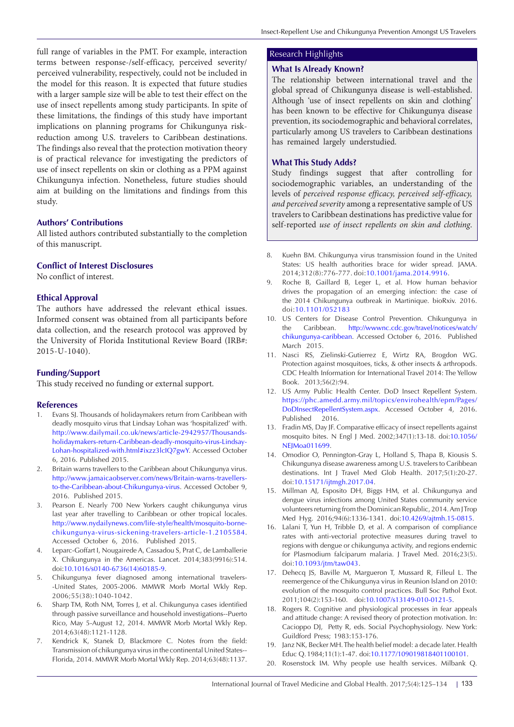full range of variables in the PMT. For example, interaction terms between response-/self-efficacy, perceived severity/ perceived vulnerability, respectively, could not be included in the model for this reason. It is expected that future studies with a larger sample size will be able to test their effect on the use of insect repellents among study participants. In spite of these limitations, the findings of this study have important implications on planning programs for Chikungunya riskreduction among U.S. travelers to Caribbean destinations. The findings also reveal that the protection motivation theory is of practical relevance for investigating the predictors of use of insect repellents on skin or clothing as a PPM against Chikungunya infection. Nonetheless, future studies should aim at building on the limitations and findings from this study.

# **Authors' Contributions**

All listed authors contributed substantially to the completion of this manuscript.

## **Conflict of Interest Disclosures**

No conflict of interest.

## **Ethical Approval**

The authors have addressed the relevant ethical issues. Informed consent was obtained from all participants before data collection, and the research protocol was approved by the University of Florida Institutional Review Board (IRB#: 2015-U-1040).

# **Funding/Support**

This study received no funding or external support.

## **References**

- <span id="page-8-0"></span>1. Evans SJ. Thousands of holidaymakers return from Caribbean with deadly mosquito virus that Lindsay Lohan was 'hospitalized' with. [http://www.dailymail.co.uk/news/article-2942957/Thousands](http://www.dailymail.co.uk/news/article-2942957/Thousands-holidaymakers-return-Caribbean-deadly-mosq)[holidaymakers-return-Caribbean-deadly-mosquito-virus-Lindsay-](http://www.dailymail.co.uk/news/article-2942957/Thousands-holidaymakers-return-Caribbean-deadly-mosq)[Lohan-hospitalized-with.html#ixzz3lcIQ7gwY.](http://www.dailymail.co.uk/news/article-2942957/Thousands-holidaymakers-return-Caribbean-deadly-mosq) Accessed October 6, 2016. Published 2015.
- <span id="page-8-1"></span>2. Britain warns travellers to the Caribbean about Chikungunya virus. [http://www.jamaicaobserver.com/news/Britain-warns-travellers](http://www.jamaicaobserver.com/news/Britain-warns-travellers-to-the-Caribbean-about-Chikungunya-viru)[to-the-Caribbean-about-Chikungunya-virus](http://www.jamaicaobserver.com/news/Britain-warns-travellers-to-the-Caribbean-about-Chikungunya-viru). Accessed October 9, 2016. Published 2015.
- <span id="page-8-2"></span>3. Pearson E. Nearly 700 New Yorkers caught chikungunya virus last year after travelling to Caribbean or other tropical locales. [http://www.nydailynews.com/life-style/health/mosquito-borne](http://www.nydailynews.com/life-style/health/mosquito-borne-chikungunya-virus-sickening-travelers-ar)[chikungunya-virus-sickening-travelers-article-1.2105584](http://www.nydailynews.com/life-style/health/mosquito-borne-chikungunya-virus-sickening-travelers-ar). Accessed October 6, 2016. Published 2015.
- <span id="page-8-3"></span>4. Leparc-Goffart I, Nougairede A, Cassadou S, Prat C, de Lamballerie X. Chikungunya in the Americas. Lancet. 2014;383(9916):514. doi[:10.1016/s0140-6736\(14\)60185-9.](http://dx.doi.org/10.1016/s0140-6736(14)60185-9)
- <span id="page-8-4"></span>5. Chikungunya fever diagnosed among international travelers- -United States, 2005-2006. MMWR Morb Mortal Wkly Rep. 2006;55(38):1040-1042.
- <span id="page-8-5"></span>6. Sharp TM, Roth NM, Torres J, et al. Chikungunya cases identified through passive surveillance and household investigations--Puerto Rico, May 5-August 12, 2014. MMWR Morb Mortal Wkly Rep. 2014;63(48):1121-1128.
- <span id="page-8-6"></span>7. Kendrick K, Stanek D, Blackmore C. Notes from the field: Transmission of chikungunya virus in the continental United States-- Florida, 2014. MMWR Morb Mortal Wkly Rep. 2014;63(48):1137.

# Research Highlights

## **What Is Already Known?**

The relationship between international travel and the global spread of Chikungunya disease is well-established. Although 'use of insect repellents on skin and clothing' has been known to be effective for Chikungunya disease prevention, its sociodemographic and behavioral correlates, particularly among US travelers to Caribbean destinations has remained largely understudied.

## **What This Study Adds?**

Study findings suggest that after controlling for sociodemographic variables, an understanding of the levels of *perceived response efficacy, perceived self-efficacy, and perceived severity* among a representative sample of US travelers to Caribbean destinations has predictive value for self-reported *use of insect repellents on skin and clothing*.

- <span id="page-8-7"></span>8. Kuehn BM. Chikungunya virus transmission found in the United States: US health authorities brace for wider spread. JAMA. 2014;312(8):776-777. doi[:10.1001/jama.2014.9916.](http://dx.doi.org/10.1001/jama.2014.9916)
- <span id="page-8-8"></span>9. Roche B, Gaillard B, Leger L, et al. How human behavior drives the propagation of an emerging infection: the case of the 2014 Chikungunya outbreak in Martinique. bioRxiv. 2016. doi:[10.1101/052183](http://dx.doi.org/10.1101/052183 )
- <span id="page-8-9"></span>10. US Centers for Disease Control Prevention. Chikungunya in the Caribbean. [http://wwwnc.cdc.gov/travel/notices/watch/](http://wwwnc.cdc.gov/travel/notices/watch/chikungunya-caribbean) [chikungunya-caribbean.](http://wwwnc.cdc.gov/travel/notices/watch/chikungunya-caribbean) Accessed October 6, 2016. Published March 2015.
- 11. Nasci RS, Zielinski-Gutierrez E, Wirtz RA, Brogdon WG. Protection against mosquitoes, ticks, & other insects & arthropods. CDC Health Information for International Travel 2014: The Yellow Book. 2013;56(2):94.
- <span id="page-8-10"></span>12. US Army Public Health Center. DoD Insect Repellent System. [https://phc.amedd.army.mil/topics/envirohealth/epm/Pages/](https://phc.amedd.army.mil/topics/envirohealth/epm/Pages/DoDInsectRepellentSystem.aspx) [DoDInsectRepellentSystem.aspx](https://phc.amedd.army.mil/topics/envirohealth/epm/Pages/DoDInsectRepellentSystem.aspx). Accessed October 4, 2016. Published 2016.
- <span id="page-8-11"></span>13. Fradin MS, Day JF. Comparative efficacy of insect repellents against mosquito bites. N Engl J Med. 2002;347(1):13-18. doi:[10.1056/](http://dx.doi.org/10.1056/NEJMoa011699) NEIMoa011699.
- <span id="page-8-12"></span>14. Omodior O, Pennington-Gray L, Holland S, Thapa B, Kiousis S. Chikungunya disease awareness among U.S. travelers to Caribbean destinations. Int J Travel Med Glob Health. 2017;5(1):20-27. doi:[10.15171/ijtmgh.2017.04.](http://dx.doi.org/10.15171/ijtmgh.2017.04)
- <span id="page-8-13"></span>15. Millman AJ, Esposito DH, Biggs HM, et al. Chikungunya and dengue virus infections among United States community service volunteers returning from the Dominican Republic, 2014. Am J Trop Med Hyg. 2016;94(6):1336-1341. doi[:10.4269/ajtmh.15-0815](http://dx.doi.org/10.4269/ajtmh.15-0815).
- <span id="page-8-14"></span>16. Lalani T, Yun H, Tribble D, et al. A comparison of compliance rates with anti-vectorial protective measures during travel to regions with dengue or chikungunya activity, and regions endemic for Plasmodium falciparum malaria. J Travel Med. 2016;23(5). doi:[10.1093/jtm/taw043](http://dx.doi.org/10.1093/jtm/taw043).
- <span id="page-8-15"></span>17. Dehecq JS, Baville M, Margueron T, Mussard R, Filleul L. The reemergence of the Chikungunya virus in Reunion Island on 2010: evolution of the mosquito control practices. Bull Soc Pathol Exot. 2011;104(2):153-160. doi:[10.1007/s13149-010-0121-5.](http://dx.doi.org/10.1007/s13149-010-0121-5)
- <span id="page-8-16"></span>18. Rogers R. Cognitive and physiological processes in fear appeals and attitude change: A revised theory of protection motivation. In: Cacioppo DJ, Petty R, eds. Social Psychophysiology. New York: Guildford Press; 1983:153-176.
- <span id="page-8-17"></span>19. Janz NK, Becker MH. The health belief model: a decade later. Health Educ Q. 1984;11(1):1-47. doi:[10.1177/109019818401100101.](http://dx.doi.org/10.1177/109019818401100101)
- <span id="page-8-18"></span>20. Rosenstock IM. Why people use health services. Milbank Q.